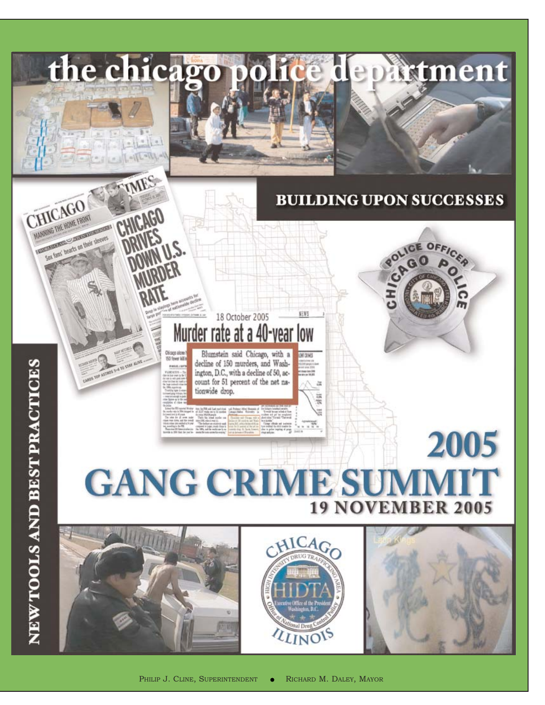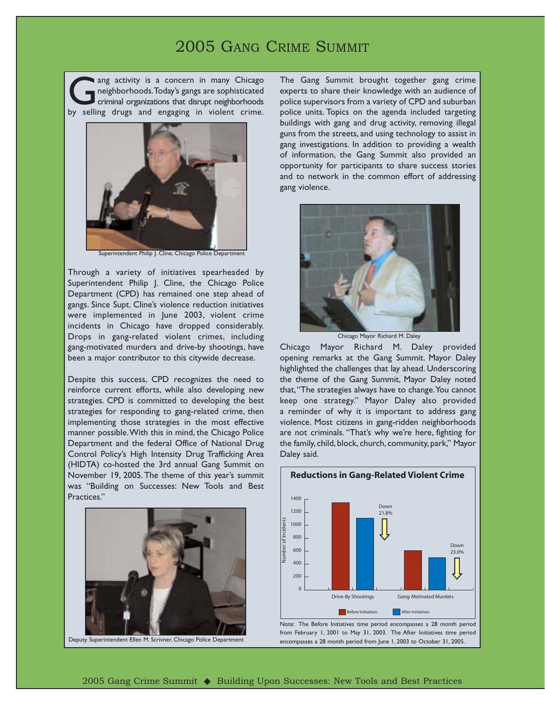### 2005 GANG CRIME SUMMIT

ang activity is a concern in many Chicago neighborhoods.Today's gangs are sophisticated criminal organizations that disrupt neighborhoods by selling drugs and engaging in violent crime.



Superintendent Philip J. Cline, Chicago Police Department

Through a variety of initiatives spearheaded by Superintendent Philip J. Cline, the Chicago Police Department (CPD) has remained one step ahead of gangs. Since Supt. Cline's violence reduction initiatives were implemented in June 2003, violent crime incidents in Chicago have dropped considerably. Drops in gang-related violent crimes, including gang-motivated murders and drive-by shootings, have been a major contributor to this citywide decrease.

Despite this success, CPD recognizes the need to reinforce current efforts, while also developing new strategies. CPD is committed to developing the best strategies for responding to gang-related crime, then implementing those strategies in the most effective manner possible.With this in mind, the Chicago Police Department and the federal Office of National Drug Control Policy's High Intensity Drug Trafficking Area (HIDTA) co-hosted the 3rd annual Gang Summit on November 19, 2005. The theme of this year's summit was "Building on Successes: New Tools and Best Practices."



Deputy Superintendent Ellen M. Scrivner, Chicago Police Department

The Gang Summit brought together gang crime experts to share their knowledge with an audience of police supervisors from a variety of CPD and suburban police units. Topics on the agenda included targeting buildings with gang and drug activity, removing illegal guns from the streets, and using technology to assist in gang investigations. In addition to providing a wealth of information, the Gang Summit also provided an opportunity for participants to share success stories and to network in the common effort of addressing gang violence.



Chicago Mayor Richard M. Daley

Chicago Mayor Richard M. Daley provided opening remarks at the Gang Summit. Mayor Daley highlighted the challenges that lay ahead. Underscoring the theme of the Gang Summit, Mayor Daley noted that,"The strategies always have to change.You cannot keep one strategy." Mayor Daley also provided a reminder of why it is important to address gang violence. Most citizens in gang-ridden neighborhoods are not criminals. "That's why we're here, fighting for the family, child, block, church, community, park," Mayor Daley said.



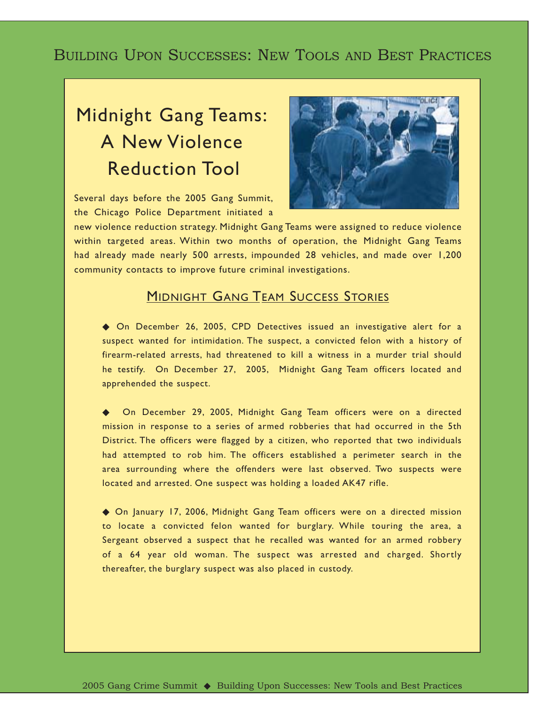## BUILDING UPON SUCCESSES: NEW TOOLS AND BEST PRACTICES

# Midnight Gang Teams: A New Violence Reduction Tool

Several days before the 2005 Gang Summit, the Chicago Police Department initiated a



new violence reduction strategy. Midnight Gang Teams were assigned to reduce violence within targeted areas. Within two months of operation, the Midnight Gang Teams had already made nearly 500 arrests, impounded 28 vehicles, and made over 1,200 community contacts to improve future criminal investigations.

### **MIDNIGHT GANG TEAM SUCCESS STORIES**

◆ On December 26, 2005, CPD Detectives issued an investigative alert for a suspect wanted for intimidation. The suspect, a convicted felon with a history of firearm-related arrests, had threatened to kill a witness in a murder trial should he testify. On December 27, 2005, Midnight Gang Team officers located and apprehended the suspect.

On December 29, 2005, Midnight Gang Team officers were on a directed mission in response to a series of armed robberies that had occurred in the 5th District. The officers were flagged by a citizen, who reported that two individuals had attempted to rob him. The officers established a perimeter search in the area surrounding where the offenders were last observed. Two suspects were located and arrested. One suspect was holding a loaded AK47 rifle.

◆ On January 17, 2006, Midnight Gang Team officers were on a directed mission to locate a convicted felon wanted for burglary. While touring the area, a Sergeant observed a suspect that he recalled was wanted for an armed robbery of a 64 year old woman. The suspect was arrested and charged. Shortly thereafter, the burglary suspect was also placed in custody.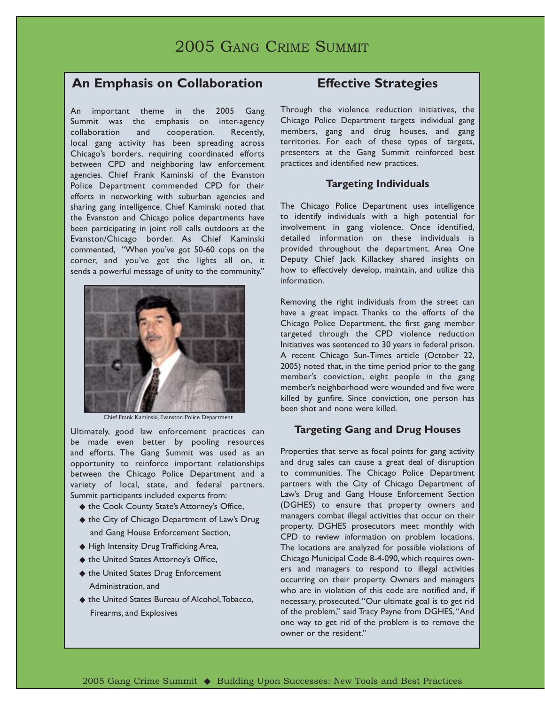## 2005 GANG CRIME SUMMIT

### **An Emphasis on Collaboration**

An important theme in the 2005 Gang Summit was the emphasis on inter-agency collaboration and cooperation. Recently, local gang activity has been spreading across Chicago's borders, requiring coordinated efforts between CPD and neighboring law enforcement agencies. Chief Frank Kaminski of the Evanston Police Department commended CPD for their efforts in networking with suburban agencies and sharing gang intelligence. Chief Kaminski noted that the Evanston and Chicago police departments have been participating in joint roll calls outdoors at the Evanston/Chicago border. As Chief Kaminski commented, "When you've got 50-60 cops on the corner, and you've got the lights all on, it sends a powerful message of unity to the community."



Chief Frank Kaminski, Evanston Police Department

Ultimately, good law enforcement practices can be made even better by pooling resources and efforts. The Gang Summit was used as an opportunity to reinforce important relationships between the Chicago Police Department and a variety of local, state, and federal partners. Summit participants included experts from:

- ◆ the Cook County State's Attorney's Office,
- ◆ the City of Chicago Department of Law's Drug and Gang House Enforcement Section,
- ◆ High Intensity Drug Trafficking Area,
- ◆ the United States Attorney's Office,
- ◆ the United States Drug Enforcement Administration, and
- ◆ the United States Bureau of Alcohol, Tobacco, Firearms, and Explosives

### **Effective Strategies**

Through the violence reduction initiatives, the Chicago Police Department targets individual gang members, gang and drug houses, and gang territories. For each of these types of targets, presenters at the Gang Summit reinforced best practices and identified new practices.

#### **Targeting Individuals**

The Chicago Police Department uses intelligence to identify individuals with a high potential for involvement in gang violence. Once identified, detailed information on these individuals is provided throughout the department. Area One Deputy Chief Jack Killackey shared insights on how to effectively develop, maintain, and utilize this information.

Removing the right individuals from the street can have a great impact. Thanks to the efforts of the Chicago Police Department, the first gang member targeted through the CPD violence reduction Initiatives was sentenced to 30 years in federal prison. A recent Chicago Sun-Times article (October 22, 2005) noted that, in the time period prior to the gang member's conviction, eight people in the gang member's neighborhood were wounded and five were killed by gunfire. Since conviction, one person has been shot and none were killed.

#### **Targeting Gang and Drug Houses**

Properties that serve as focal points for gang activity and drug sales can cause a great deal of disruption to communities. The Chicago Police Department partners with the City of Chicago Department of Law's Drug and Gang House Enforcement Section (DGHES) to ensure that property owners and managers combat illegal activities that occur on their property. DGHES prosecutors meet monthly with CPD to review information on problem locations. The locations are analyzed for possible violations of Chicago Municipal Code 8-4-090, which requires owners and managers to respond to illegal activities occurring on their property. Owners and managers who are in violation of this code are notified and, if necessary, prosecuted."Our ultimate goal is to get rid of the problem," said Tracy Payne from DGHES,"And one way to get rid of the problem is to remove the owner or the resident."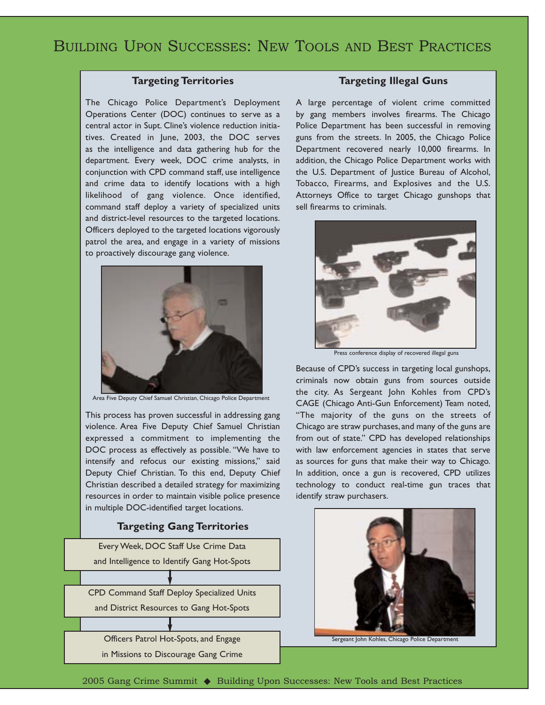#### **Targeting Territories**

The Chicago Police Department's Deployment Operations Center (DOC) continues to serve as a central actor in Supt. Cline's violence reduction initiatives. Created in June, 2003, the DOC serves as the intelligence and data gathering hub for the department. Every week, DOC crime analysts, in conjunction with CPD command staff, use intelligence and crime data to identify locations with a high likelihood of gang violence. Once identified, command staff deploy a variety of specialized units and district-level resources to the targeted locations. Officers deployed to the targeted locations vigorously patrol the area, and engage in a variety of missions to proactively discourage gang violence.



Area Five Deputy Chief Samuel Christian, Chicago Police Department

This process has proven successful in addressing gang violence. Area Five Deputy Chief Samuel Christian expressed a commitment to implementing the DOC process as effectively as possible. "We have to intensify and refocus our existing missions," said Deputy Chief Christian. To this end, Deputy Chief Christian described a detailed strategy for maximizing resources in order to maintain visible police presence in multiple DOC-identified target locations.

#### **Targeting Gang Territories**



#### **Targeting Illegal Guns**

A large percentage of violent crime committed by gang members involves firearms. The Chicago Police Department has been successful in removing guns from the streets. In 2005, the Chicago Police Department recovered nearly 10,000 firearms. In addition, the Chicago Police Department works with the U.S. Department of Justice Bureau of Alcohol, Tobacco, Firearms, and Explosives and the U.S. Attorneys Office to target Chicago gunshops that sell firearms to criminals.



Press conference display of recovered illegal guns

Because of CPD's success in targeting local gunshops, criminals now obtain guns from sources outside the city. As Sergeant John Kohles from CPD's CAGE (Chicago Anti-Gun Enforcement) Team noted, "The majority of the guns on the streets of Chicago are straw purchases, and many of the guns are from out of state." CPD has developed relationships with law enforcement agencies in states that serve as sources for guns that make their way to Chicago. In addition, once a gun is recovered, CPD utilizes technology to conduct real-time gun traces that identify straw purchasers.



Sergeant John Kohles, Chicago Police Department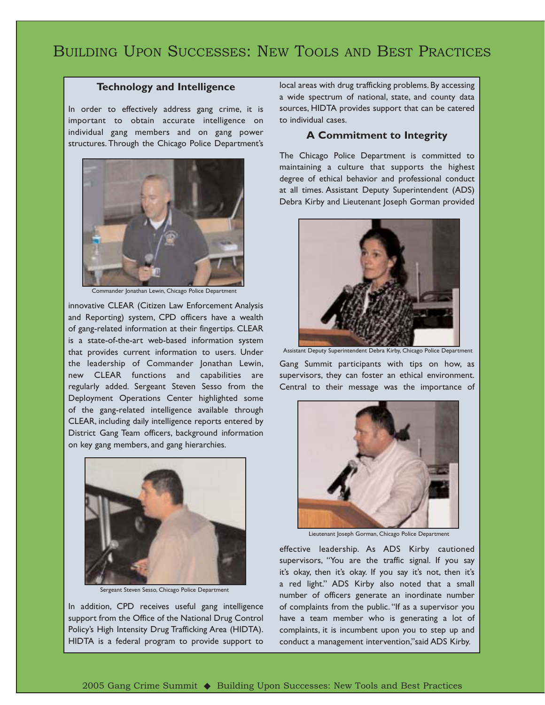## BUILDING UPON SUCCESSES: NEW TOOLS AND BEST PRACTICES

#### **Technology and Intelligence**

In order to effectively address gang crime, it is important to obtain accurate intelligence on individual gang members and on gang power structures. Through the Chicago Police Department's



Commander Jonathan Lewin, Chicago Police Department

innovative CLEAR (Citizen Law Enforcement Analysis and Reporting) system, CPD officers have a wealth of gang-related information at their fingertips. CLEAR is a state-of-the-art web-based information system that provides current information to users. Under the leadership of Commander Jonathan Lewin, new CLEAR functions and capabilities are regularly added. Sergeant Steven Sesso from the Deployment Operations Center highlighted some of the gang-related intelligence available through CLEAR, including daily intelligence reports entered by District Gang Team officers, background information on key gang members, and gang hierarchies.



Sergeant Steven Sesso, Chicago Police Department

In addition, CPD receives useful gang intelligence support from the Office of the National Drug Control Policy's High Intensity Drug Trafficking Area (HIDTA). HIDTA is a federal program to provide support to

local areas with drug trafficking problems. By accessing a wide spectrum of national, state, and county data sources, HIDTA provides support that can be catered to individual cases.

#### **A Commitment to Integrity**

The Chicago Police Department is committed to maintaining a culture that supports the highest degree of ethical behavior and professional conduct at all times. Assistant Deputy Superintendent (ADS) Debra Kirby and Lieutenant Joseph Gorman provided



Gang Summit participants with tips on how, as supervisors, they can foster an ethical environment. Central to their message was the importance of



Lieutenant Joseph Gorman, Chicago Police Department

effective leadership. As ADS Kirby cautioned supervisors, "You are the traffic signal. If you say it's okay, then it's okay. If you say it's not, then it's a red light." ADS Kirby also noted that a small number of officers generate an inordinate number of complaints from the public. "If as a supervisor you have a team member who is generating a lot of complaints, it is incumbent upon you to step up and conduct a management intervention,"said ADS Kirby.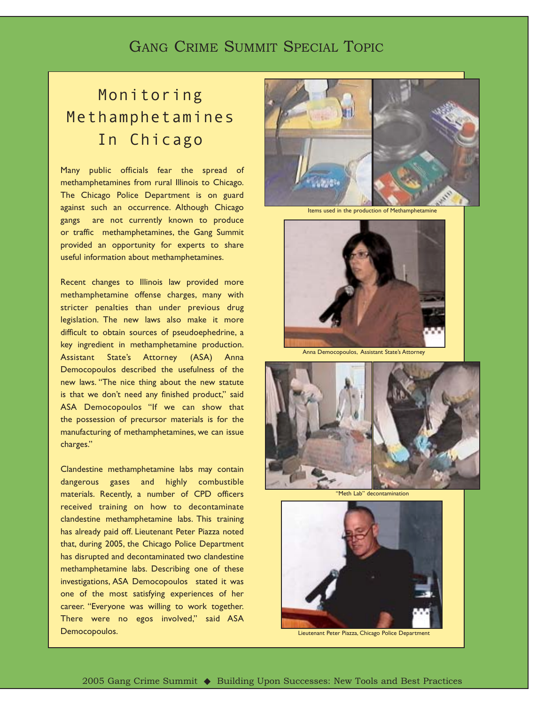## GANG CRIME SUMMIT SPECIAL TOPIC

# Monitoring Methamphetamines In Chicago

Many public officials fear the spread of methamphetamines from rural Illinois to Chicago. The Chicago Police Department is on guard against such an occurrence. Although Chicago gangs are not currently known to produce or traffic methamphetamines, the Gang Summit provided an opportunity for experts to share useful information about methamphetamines.

Recent changes to Illinois law provided more methamphetamine offense charges, many with stricter penalties than under previous drug legislation. The new laws also make it more difficult to obtain sources of pseudoephedrine, a key ingredient in methamphetamine production. Assistant State's Attorney (ASA) Anna Democopoulos described the usefulness of the new laws. "The nice thing about the new statute is that we don't need any finished product," said ASA Democopoulos "If we can show that the possession of precursor materials is for the manufacturing of methamphetamines, we can issue charges."

Clandestine methamphetamine labs may contain dangerous gases and highly combustible materials. Recently, a number of CPD officers received training on how to decontaminate clandestine methamphetamine labs. This training has already paid off. Lieutenant Peter Piazza noted that, during 2005, the Chicago Police Department has disrupted and decontaminated two clandestine methamphetamine labs. Describing one of these investigations, ASA Democopoulos stated it was one of the most satisfying experiences of her career. "Everyone was willing to work together. There were no egos involved," said ASA Democopoulos.



Items used in the production of Methamphetan



Anna Democopoulos, Assistant State's Attorney







Lieutenant Peter Piazza, Chicago Police Department